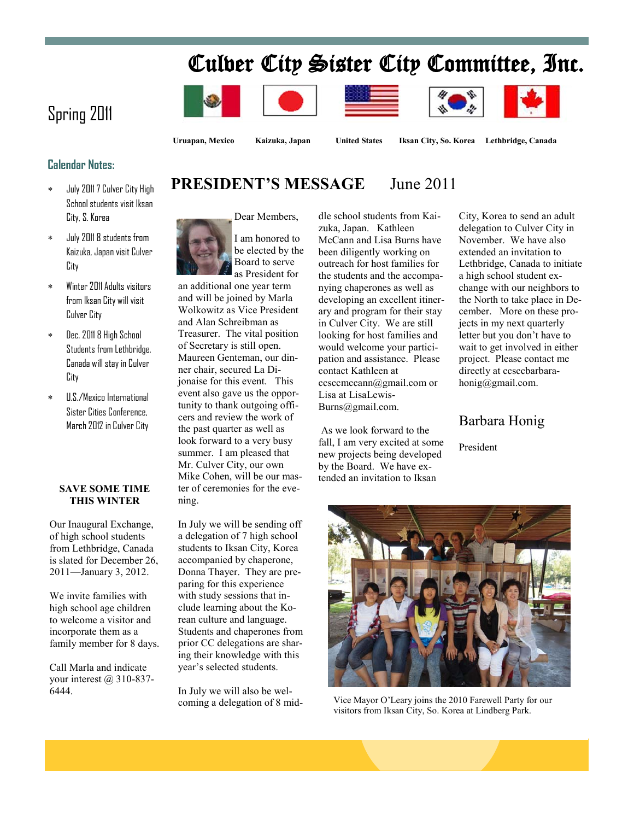# Culver City Sister City Committee, Inc.











# Spring 2011

**Uruapan, Mexico Kaizuka, Japan United States Iksan City, So. Korea Lethbridge, Canada**

### **Calendar Notes:**

- July 2011 7 Culver City High School students visit Iksan City, S. Korea
- July 2011 8 students from Kaizuka, Japan visit Culver City
- Winter 2011 Adults visitors from Iksan City will visit Culver City
- Dec. 2011 8 High School Students from Lethbridge, Canada will stay in Culver City
- U.S./Mexico International Sister Cities Conference, March 2012 in Culver City

#### **SAVE SOME TIME THIS WINTER**

Our Inaugural Exchange, of high school students from Lethbridge, Canada is slated for December 26, 2011—January 3, 2012.

We invite families with high school age children to welcome a visitor and incorporate them as a family member for 8 days.

Call Marla and indicate your interest  $(a)$  310-837-6444.

# **PRESIDENT'S MESSAGE** June 2011



I am honored to be elected by the Board to serve as President for

an additional one year term and will be joined by Marla Wolkowitz as Vice President and Alan Schreibman as Treasurer. The vital position of Secretary is still open. Maureen Genteman, our dinner chair, secured La Dijonaise for this event. This event also gave us the opportunity to thank outgoing officers and review the work of the past quarter as well as look forward to a very busy summer. I am pleased that Mr. Culver City, our own Mike Cohen, will be our master of ceremonies for the evening.

In July we will be sending off a delegation of 7 high school students to Iksan City, Korea accompanied by chaperone, Donna Thayer. They are preparing for this experience with study sessions that include learning about the Korean culture and language. Students and chaperones from prior CC delegations are sharing their knowledge with this year's selected students.

In July we will also be welcoming a delegation of 8 mid-

dle school students from Kaizuka, Japan. Kathleen McCann and Lisa Burns have been diligently working on outreach for host families for the students and the accompanying chaperones as well as developing an excellent itinerary and program for their stay in Culver City. We are still looking for host families and would welcome your participation and assistance. Please contact Kathleen at ccsccmccann@gmail.com or Lisa at LisaLewis-Burns@gmail.com.

As we look forward to the fall, I am very excited at some new projects being developed by the Board. We have extended an invitation to Iksan

City, Korea to send an adult Lethbridge, Canada to initiate change with our neighbors to the North to take place in Dedirectly at ccsccbarbarahonig@gmail.com.

## Barbara Honig

President



Vice Mayor O'Leary joins the 2010 Farewell Party for our visitors from Iksan City, So. Korea at Lindberg Park.

delegation to Culver City in November. We have also extended an invitation to a high school student excember. More on these projects in my next quarterly letter but you don't have to wait to get involved in either project. Please contact me